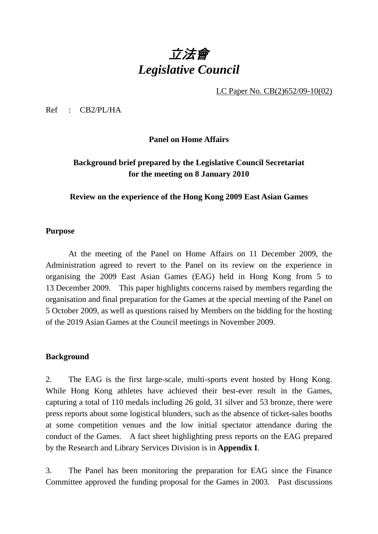# 立法會 *Legislative Council*

LC Paper No. CB(2)652/09-10(02)

Ref : CB2/PL/HA

**Panel on Home Affairs** 

# **Background brief prepared by the Legislative Council Secretariat for the meeting on 8 January 2010**

**Review on the experience of the Hong Kong 2009 East Asian Games** 

#### **Purpose**

 At the meeting of the Panel on Home Affairs on 11 December 2009, the Administration agreed to revert to the Panel on its review on the experience in organising the 2009 East Asian Games (EAG) held in Hong Kong from 5 to 13 December 2009. This paper highlights concerns raised by members regarding the organisation and final preparation for the Games at the special meeting of the Panel on 5 October 2009, as well as questions raised by Members on the bidding for the hosting of the 2019 Asian Games at the Council meetings in November 2009.

#### **Background**

2. The EAG is the first large-scale, multi-sports event hosted by Hong Kong. While Hong Kong athletes have achieved their best-ever result in the Games, capturing a total of 110 medals including 26 gold, 31 silver and 53 bronze, there were press reports about some logistical blunders, such as the absence of ticket-sales booths at some competition venues and the low initial spectator attendance during the conduct of the Games. A fact sheet highlighting press reports on the EAG prepared by the Research and Library Services Division is in **Appendix I**.

3. The Panel has been monitoring the preparation for EAG since the Finance Committee approved the funding proposal for the Games in 2003. Past discussions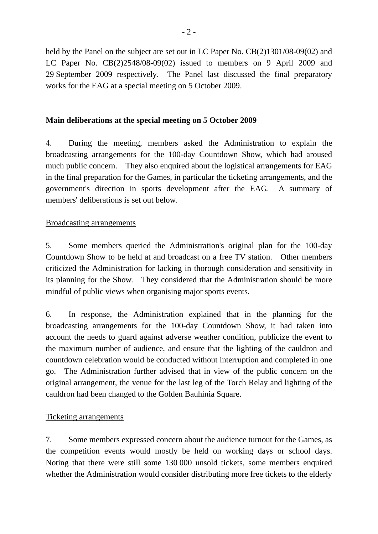held by the Panel on the subject are set out in LC Paper No. CB(2)1301/08-09(02) and LC Paper No. CB(2)2548/08-09(02) issued to members on 9 April 2009 and 29 September 2009 respectively. The Panel last discussed the final preparatory works for the EAG at a special meeting on 5 October 2009.

# **Main deliberations at the special meeting on 5 October 2009**

4. During the meeting, members asked the Administration to explain the broadcasting arrangements for the 100-day Countdown Show, which had aroused much public concern. They also enquired about the logistical arrangements for EAG in the final preparation for the Games, in particular the ticketing arrangements, and the government's direction in sports development after the EAG. A summary of members' deliberations is set out below.

## Broadcasting arrangements

5. Some members queried the Administration's original plan for the 100-day Countdown Show to be held at and broadcast on a free TV station. Other members criticized the Administration for lacking in thorough consideration and sensitivity in its planning for the Show. They considered that the Administration should be more mindful of public views when organising major sports events.

6. In response, the Administration explained that in the planning for the broadcasting arrangements for the 100-day Countdown Show, it had taken into account the needs to guard against adverse weather condition, publicize the event to the maximum number of audience, and ensure that the lighting of the cauldron and countdown celebration would be conducted without interruption and completed in one go. The Administration further advised that in view of the public concern on the original arrangement, the venue for the last leg of the Torch Relay and lighting of the cauldron had been changed to the Golden Bauhinia Square.

# Ticketing arrangements

7. Some members expressed concern about the audience turnout for the Games, as the competition events would mostly be held on working days or school days. Noting that there were still some 130 000 unsold tickets, some members enquired whether the Administration would consider distributing more free tickets to the elderly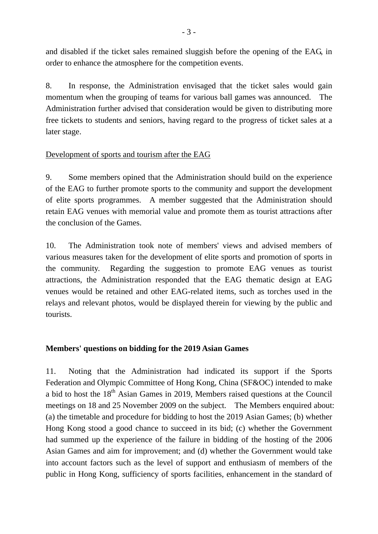and disabled if the ticket sales remained sluggish before the opening of the EAG, in order to enhance the atmosphere for the competition events.

8. In response, the Administration envisaged that the ticket sales would gain momentum when the grouping of teams for various ball games was announced. The Administration further advised that consideration would be given to distributing more free tickets to students and seniors, having regard to the progress of ticket sales at a later stage.

# Development of sports and tourism after the EAG

9. Some members opined that the Administration should build on the experience of the EAG to further promote sports to the community and support the development of elite sports programmes. A member suggested that the Administration should retain EAG venues with memorial value and promote them as tourist attractions after the conclusion of the Games.

10. The Administration took note of members' views and advised members of various measures taken for the development of elite sports and promotion of sports in the community. Regarding the suggestion to promote EAG venues as tourist attractions, the Administration responded that the EAG thematic design at EAG venues would be retained and other EAG-related items, such as torches used in the relays and relevant photos, would be displayed therein for viewing by the public and tourists.

# **Members' questions on bidding for the 2019 Asian Games**

11. Noting that the Administration had indicated its support if the Sports Federation and Olympic Committee of Hong Kong, China (SF&OC) intended to make a bid to host the  $18<sup>th</sup>$  Asian Games in 2019, Members raised questions at the Council meetings on 18 and 25 November 2009 on the subject. The Members enquired about: (a) the timetable and procedure for bidding to host the 2019 Asian Games; (b) whether Hong Kong stood a good chance to succeed in its bid; (c) whether the Government had summed up the experience of the failure in bidding of the hosting of the 2006 Asian Games and aim for improvement; and (d) whether the Government would take into account factors such as the level of support and enthusiasm of members of the public in Hong Kong, sufficiency of sports facilities, enhancement in the standard of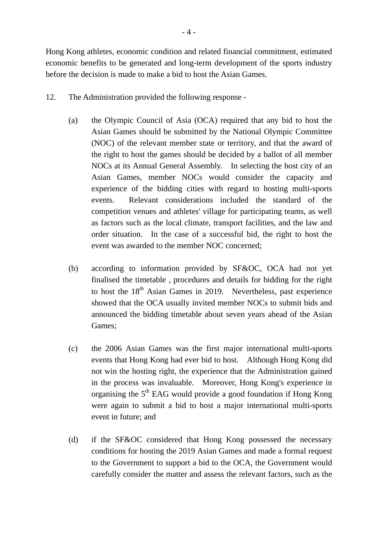Hong Kong athletes, economic condition and related financial commitment, estimated economic benefits to be generated and long-term development of the sports industry before the decision is made to make a bid to host the Asian Games.

- 12. The Administration provided the following response
	- (a) the Olympic Council of Asia (OCA) required that any bid to host the Asian Games should be submitted by the National Olympic Committee (NOC) of the relevant member state or territory, and that the award of the right to host the games should be decided by a ballot of all member NOCs at its Annual General Assembly. In selecting the host city of an Asian Games, member NOCs would consider the capacity and experience of the bidding cities with regard to hosting multi-sports events. Relevant considerations included the standard of the competition venues and athletes' village for participating teams, as well as factors such as the local climate, transport facilities, and the law and order situation. In the case of a successful bid, the right to host the event was awarded to the member NOC concerned;
	- (b) according to information provided by SF&OC, OCA had not yet finalised the timetable , procedures and details for bidding for the right to host the  $18<sup>th</sup>$  Asian Games in 2019. Nevertheless, past experience showed that the OCA usually invited member NOCs to submit bids and announced the bidding timetable about seven years ahead of the Asian Games;
	- (c) the 2006 Asian Games was the first major international multi-sports events that Hong Kong had ever bid to host. Although Hong Kong did not win the hosting right, the experience that the Administration gained in the process was invaluable. Moreover, Hong Kong's experience in organising the  $5<sup>th</sup>$  EAG would provide a good foundation if Hong Kong were again to submit a bid to host a major international multi-sports event in future; and
	- (d) if the SF&OC considered that Hong Kong possessed the necessary conditions for hosting the 2019 Asian Games and made a formal request to the Government to support a bid to the OCA, the Government would carefully consider the matter and assess the relevant factors, such as the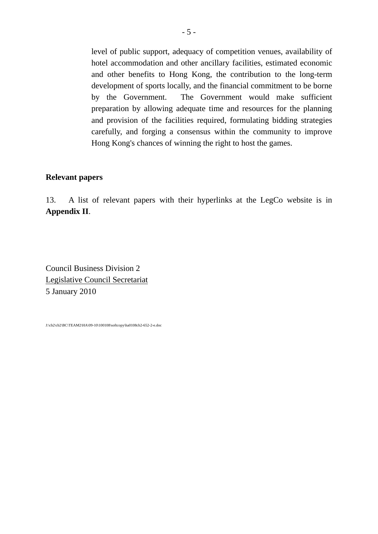level of public support, adequacy of competition venues, availability of hotel accommodation and other ancillary facilities, estimated economic and other benefits to Hong Kong, the contribution to the long-term development of sports locally, and the financial commitment to be borne by the Government. The Government would make sufficient preparation by allowing adequate time and resources for the planning and provision of the facilities required, formulating bidding strategies carefully, and forging a consensus within the community to improve Hong Kong's chances of winning the right to host the games.

#### **Relevant papers**

13. A list of relevant papers with their hyperlinks at the LegCo website is in **Appendix II**.

Council Business Division 2 Legislative Council Secretariat 5 January 2010

J:\cb2\cb2\BC\TEAM2\HA\09-10\100108\softcopy\ha0108cb2-652-2-e.doc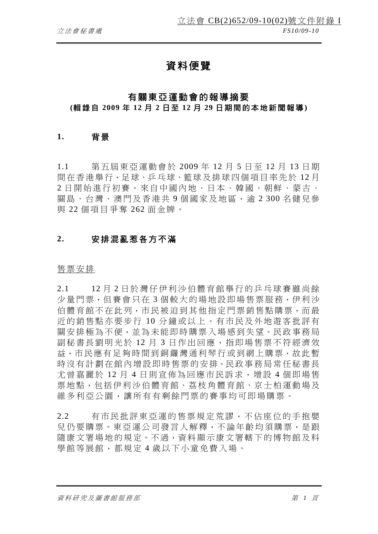# 資料便覽

## 有關東亞運動會的報導摘要

## **(**輯錄自 **2009** 年 **12** 月 **2** 日 至 **12** 月 **29** 日期間的本地新聞報導 **)**

## **1.** 背景

1.1 第五屆東亞運動會於 2009 年 12 月 5 日至 12 月 13 日期 間在香港舉行,足球、乒乓球、籃球及排球四個項目率先於 12 月 2 日開始進行初賽。來自中國內地、日本、韓國、朝鮮、蒙古、 關鳥、台灣、澳門及香港共9個國家及地區,渝 2 300 名健兒參 與 22 個項目爭奪 262 面金牌。

## **2.** 安排混亂惹各方不滿

#### 售票安排

2.1 12 月 2 日於灣仔伊利沙伯體育館舉行的乒乓球賽雖尚餘 少量門票,但賽會只在 3 個較大的場地設即場售票服務,伊利沙 伯體育館不在此列,市民被迫到其他指定門票銷售點購票,而最 近的銷售點亦要步行 10 分鐘或以上。有市民及外地遊客批評有 關安排極為不便,並為未能即時購票入場感到失望。民政事務局 副秘書長劉明光於 12 月 3 日作出回應, 指即場售票不符經濟效 益,市民應有足夠時間到銅鑼灣通利琴行或到網上購票,故此暫 時沒有計劃在館內增設即時售票的安排。民政事務局常任秘書長 尤曾嘉麗於 12 月 4 日則宣佈為回應市民訴求,增設 4 個即場售 票地點,包括伊利沙伯體育館、荔枝角體育館、京士柏運動場及 維多利亞公園,讓所有有剩餘門票的賽事均可即場購票。

2.2 有市民批評東亞運的售票規定荒謬,不佔座位的手抱嬰 兒仍要購票。東亞運公司發言人解釋,不論年齡均須購票,是跟 隨康文署場地的規定。不過,資料顯示康文署轄下的博物館及科 學館等展館,都規定 4 歲以下小童免費入場。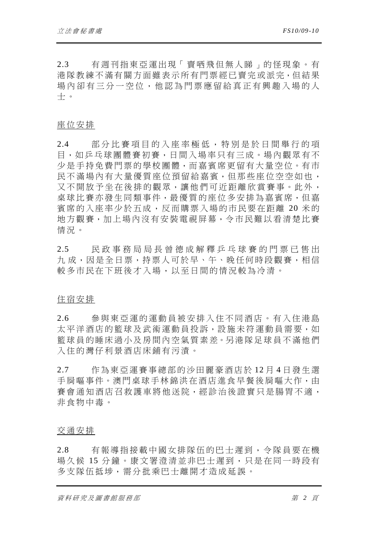2.3 有週刊指東亞運出現「賣哂飛但無人睇」的怪現象。有 港隊教練不滿有關方面雖表示所有門票經已賣完或派完,但結果 場內卻有三分一空位,他認為門票應留給真正有興趣入場的人 士。

#### 座位安排

2.4 部分比賽項目的入座率極低,特別是於日間舉行的項 目,如乒乓球團體賽初賽,日間入場率只有三成。場內觀眾有不 少是手持免費門票的學校團體,而嘉賓席更留有大量空位。有市 民不滿場內有大量優質座位預留給嘉賓,但那些座位空空如也, 又不開放予坐在後排的觀眾,讓他們可近距離欣賞賽事。此外, 桌球比賽亦發生同類事件,最優質的座位多安排為嘉賓席,但嘉 賓席的入座率少於五成,反而購票入場的市民要在距離 20 米的 地方觀賽,加上場內沒有安裝電視屏幕,令市民難以看清楚比賽 情況。

2.5 民政事務局局長曾德成解釋乒乓球賽的門票已售出 九 成,因是全日票,持票人可於早、午、晚任何時段觀賽,相信 較多市民在下班後才入場,以至日間的情況較為冷清。

#### 住宿安排

2.6 參與東亞運的運動員被安排入住不同酒店。有入住港島 太平洋酒店的籃球及武術運動員投訴,設施未符運動員需要,如 籃球員的睡床過小及房間內空氣質素差。另港隊足球員不滿他們 入住的灣仔利景酒店床鋪有污漬。

2.7 作為東亞運賽事總部的沙田麗豪酒店於 12 月 4 日發生選 手屙嘔事件。澳門桌球手林錦洪在洒店淮食早餐後屙嘔大作,由 賽會通知酒店召救護車將他送院,經診治後證實只是腸胃不適, 非食物中毒。

#### 交通安排

2.8 有報導指接載中國女排隊伍的巴士遲到,令隊員要在機 場久候 15 分鐘。康文署澄清並非巴士遲到,只是在同一時段有 多支隊伍抵埗,需分批乘巴士離開才造成延誤。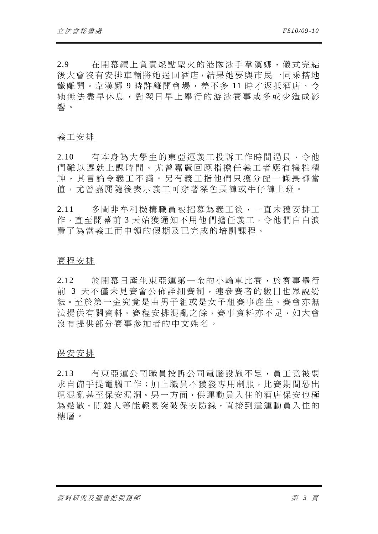2.9 在開幕禮上負責燃點聖火的港隊泳手韋漢娜,儀式完結 後大會沒有安排車輛將她送回酒店,結果她要與市民一同乘搭地 鐵離開。韋漢娜 9 時許離開會場,差不多 11 時才返抵酒店,令 她無法盡早休息,對翌日早上舉行 的游泳賽事或多或少造成影 響。

#### 義工安排

2.10 有本身為大學生的東亞運義工投訴工作時間過長,令他 們難以遷就上課時間。尤曾嘉麗回應指擔任義工者應有犠牲精 神,其言論令義工不滿。另有義工 指他們只獲分配一條長褲當 值,尤曾嘉麗隨後表示義工可穿著深色長褲或牛仔褲上班。

2.11 多間非牟利機構職員被招募為義工後,一直未獲安排工 作,直至開幕前 3 天始獲通知不用他們擔任義工,令他們白白浪 費了為當義工而申領的假期及已完成的培訓課程。

#### 賽程安排

2.12 於開幕日產生東亞運第一金的小輪車比賽,於賽事舉行 前 3 天不僅未見賽會公佈詳細賽制,連參賽者的數目也眾說紛 紜。至於第一金究竟是由男子組或是女子組賽事產生,賽會亦無 法提供有關資料。賽程安排混亂之餘,賽事資料亦不足,如大會 沒有提供部分賽事參加者的中文姓名。

#### 保安安排

2.13 有東亞運公司職員投訴公司電腦設施不足,員工竟被要 求自備手提電腦工作;加上職員不獲發專用制服,比賽期間恐出 現混亂甚至保安漏洞。另一方面,供運動員入住的酒店保安也極 為鬆散,閒雜人等能輕易突破保安防線,直接到達運動員入住的 樓層。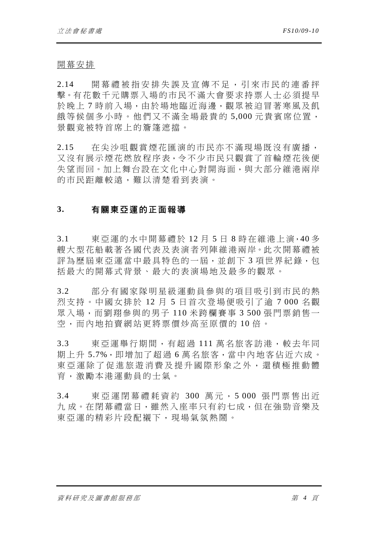開幕安排

2.14 開幕禮被指安排失誤及宣傳不足,引來市民的連番抨 擊。有花數千元購票入場的市民不滿大會要求持票人士必須提早 於晚上 7 時前入場,由於場地臨沂海邊, 觀眾被迫冒著寒風及飢 餓等候個多小時。他們又不滿全場最貴的 5,000 元貴賓席位置, 景觀竟被特首席上的簷篷遮擋。

2.15 在尖沙咀觀賞煙花匯演的市民亦不滿現場既沒有廣播, 又沒有展示煙花燃放程序表,令不少市民只觀賞了首輪煙花後便 失望而回。加上舞台設在文化中心對開海面,與大部分維港兩岸 的市民距離較遠,難以清楚看到表演。

## **3.** 有關東亞運的正面報導

3.1 東亞運的水中開幕禮於 12 月 5 日 8 時在維港上演,40 多 艘大型花船載著各國代表及表演者列陣維港兩岸。此次開幕禮被 評為歷屆東亞運當中最具特色的一屆,並創下3項世界紀錄,包 括最大的開幕式背景、最大的表演場地及最多的觀眾。

3.2 部分有國家隊明星級運動員參與的項目吸引到市民的熱 烈支持。中國女排於 12 月 5 日首次登場便吸引了逾 7 000 名觀 眾入場,而劉翔參與的男子 110 米跨欄賽事 3 500 張門票銷售一 空,而內地拍賣網站更將票價炒高至原價的 10 倍。

3.3 東亞運舉行期間,有紹渦 111 萬名旅客訪港,較夫年同 期上升 5.7%,即增加了超過 6 萬名旅客,當中內地客佔近六成。 東亞運除了促進旅遊消費及提升國 際形象之外,還積極推動體 育,激勵本港運動員的士氣。

3.4 東亞運閉幕禮耗資約 300 萬元, 5 000 張門票售出近 九 成。在閉幕禮當日,雖然入座率只有約七成,但在強勁音樂及 東亞運的精彩片段配襯下,現場氣氣熱鬧。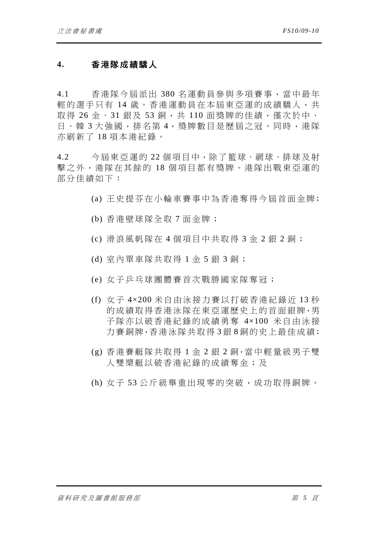# **4.** 香港隊成績驕人

4.1 香港隊今屆派出 380 名運動員參與多項賽事,當中最年 輕的選手只有14歲。香港運動員在本屆東亞運的成績驕人,共 取得 26 金、31 銀及 53 銅, 共 110 面獎牌的佳績,僅次於中、 日、韓 3 大強國,排名第 4,獎牌數目是歷屆之冠。同時,港隊 亦刷新了 18 項本港紀錄。

4.2 今屆東亞運的 22 個項目中,除了籃球、網球、排球及射 擊之外,港隊在其餘的 18 個項目都有獎牌。港隊出戰東亞運的 部分佳績如下:

- (a) 王史提芬在小輪車賽事中為香港奪得今屆首面金牌;
- (b) 香港壁球隊全取 7 面金牌;
- (c) 滑浪風帆隊在 4 個項目中共取得 3 金 2 銀 2 銅;
- (d) 室內單車隊共取得 1 金 5 銀 3 銅;
- (e) 女子乒乓球團體賽首次戰勝國家隊奪冠;
- (f) 女子 4×200 米自由泳接力賽以打破香港紀錄近 13 秒 的成績取得香港泳隊在東亞運歷史上的首面銀牌,男 子隊亦以破香港紀錄的成績勇奪 4×100 米自由泳接 力賽銅牌,香港泳隊共取得 3 銀 8 銅的史上最佳成績;
- (g) 香港賽艇隊共取得 1 金 2 銀 2 銅,當中輕量級男子雙 人雙槳艇以破香港紀錄的成績奪金;及
- (h) 女子 53 公斤級舉重出現零的突破,成功取得銅牌。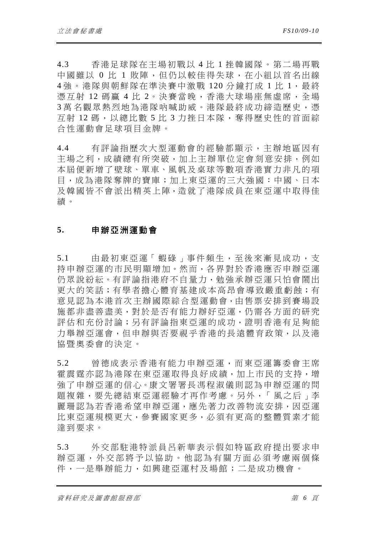4.3 香港足球隊在主場初戰以 4 比 1 挫韓國隊。第二場再戰 中國雖以 0 比 1 敗陣,但仍以較佳得失球, 在小組以首名出線 4強。港隊與朝鮮隊在準決賽中激戰 120分鐘打成 1 比 1,最終 憑互射 12 碼贏 4 比 2。決賽當晩,香港大球場座無虛席,全場 3萬名觀眾熱烈地為港隊吶喊助威。港隊最終成功締造歷史,憑 互射 12 碼,以總比數 5 比 3 力挫日本隊,奪得歷史性的首面綜 合性運動會足球項目金牌。

4.4 有評論指歷次大型運動會的經驗都顯示,主辦地區因有 主場之利,成績總有所突破,加上主辦單位定會刻意安排,例如 本屆便新增了壁球、單車、風帆及桌球等數項香港實力非凡的項 目,成為港隊奪牌的寶庫;加上東亞運的三大強國:中國、日本 及韓國皆不會派出精英上陣,造就了港隊成員在東亞運中取得佳 績。

## **5.** 申辦亞洲運動會

5.1 由最初東亞運「蝦碌」事件頻生,至後來漸見成功,支 持申辦亞運的市民明顯增加。然而,各界對於香港應否申辦亞運 仍眾說紛紜。有評論指港府不自量力, 勉強承辦亞運只怕會鬧出 更大的笑話;有學者擔心體育基建成本高昂會導致嚴重虧蝕;有 意見認為本港首次主辦國際綜合型運動會,由售票安排到賽場設 施都非盡善盡美,對於是否有能力辦好亞運,仍需各方面的研究 評估和充份討論;另有評論指東亞運的成功,證明香港有足夠能 力舉辦亞運會,但申辦與否要視乎香港的長遠體育政策,以及港 協暨奧委會的決定。

5.2 曾德成表示香港有能力申辦亞運,而東亞運籌委會主席 霍震霆亦認為港隊在東亞運取得良好成績,加上市民的支持,增 強了申辦亞運的信心。康文署署長馮程淑儀則認為申辦亞運的問 題複雜,要先總結東亞運經驗才再作考慮。另外,「風之后」李 麗珊認為若香港希望申辦亞運,應先著力改善物流安排,因亞運 比東亞運規模更大,參賽國家更多,必須有更高的整體質素才能 達到要求。

5.3 外交部駐港特派員呂新華表示假如特區政府提出要求申 辦亞運,外交部將予以協助。他認為有關方面必須考慮兩個條 件,一是舉辦能力,如興建亞運村及場館;二是成功機會。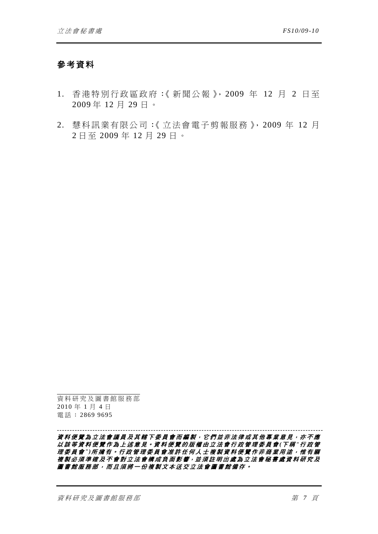# 參考資料

- 1. 香港特別行政區政府:《新聞公報》,2009 年 12 月 2 日至 2009 年 12 月 29 日。
- 2. 慧科訊業有限公司:《立法會電子剪報服務》,2009 年 12 月 2 日至 2009 年 12 月 29 日。

資料研究及圖書館服務部 2010 年 1 月 4 日 電話: 2869 9695

#### *---------------------------------------------------------------------------------------------------------*  資料便覽為立法會議員及其轄下委員會而編製,它們並非法律或其他專業意見,亦不應 以該等資料便覽作為上述意見。資料便覽的版權由立法會行政管理委員會 *(*下 稱 *"*行政管 理委員會 *")*所擁有。行政管理委員會准許任何人士複製資料便覽作非商業用途,惟有關 **複製必須準確及不會對立法會構成負面影響,並須註明出處為立法會秘書處資料研究及** 圖書館服務部,而且須將一份複製文本送交立法會圖書館備存。